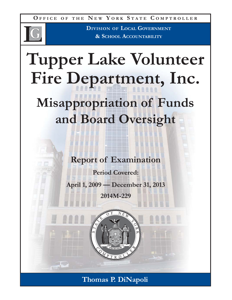**O FFICE O F THE N E W Y ORK S TATE C OMPTROLLER**



**DIVISION OF LOCAL GOVERNMENT & SCHOOL ACCOUNTABILITY**

# **Tupper Lake Volunteer Fire Department, Inc.**

**Misappropriation of Funds and Board Oversight**

**Report of Examination**

**Period Covered:**

**April 1, 2009 — December 31, 2013**

**2014M-229**

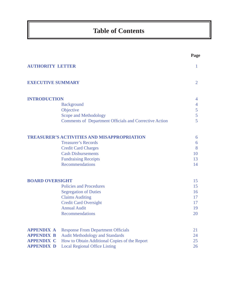# **Table of Contents**

|                          |                                                        | Page           |
|--------------------------|--------------------------------------------------------|----------------|
| <b>AUTHORITY LETTER</b>  |                                                        | 1              |
| <b>EXECUTIVE SUMMARY</b> |                                                        | $\overline{2}$ |
| <b>INTRODUCTION</b>      |                                                        | 4              |
|                          | <b>Background</b>                                      | $\overline{4}$ |
|                          | Objective                                              | 5              |
|                          | Scope and Methodology                                  | 5 <sup>5</sup> |
|                          | Comments of Department Officials and Corrective Action | 5              |
|                          | <b>TREASURER'S ACTIVITIES AND MISAPPROPRIATION</b>     | 6              |
|                          | <b>Treasurer's Records</b>                             | 6              |
|                          | <b>Credit Card Charges</b>                             | 8              |
|                          | <b>Cash Disbursements</b>                              | 10             |
|                          | <b>Fundraising Receipts</b>                            | 13             |
|                          | Recommendations                                        | 14             |
| <b>BOARD OVERSIGHT</b>   |                                                        | 15             |
|                          | <b>Policies and Procedures</b>                         | 15             |
|                          | <b>Segregation of Duties</b>                           | 16             |
|                          | <b>Claims Auditing</b>                                 | 17             |
|                          | <b>Credit Card Oversight</b>                           | 17             |
|                          | <b>Annual Audit</b>                                    | 19             |
|                          | Recommendations                                        | 20             |
| <b>APPENDIX A</b>        | <b>Response From Department Officials</b>              | 21             |
| <b>APPENDIX B</b>        | <b>Audit Methodology and Standards</b>                 | 24             |
| <b>APPENDIX C</b>        | How to Obtain Additional Copies of the Report          | 25             |
| <b>APPENDIX D</b>        | <b>Local Regional Office Listing</b>                   | 26             |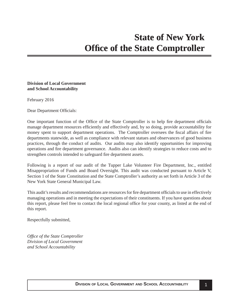### <span id="page-2-0"></span>**Division of Local Government and School Accountability**

February 2016

Dear Department Officials:

One important function of the Office of the State Comptroller is to help fire department officials manage department resources efficiently and effectively and, by so doing, provide accountability for money spent to support department operations. The Comptroller oversees the fiscal affairs of fire departments statewide, as well as compliance with relevant statues and observances of good business practices, through the conduct of audits. Our audits may also identify opportunities for improving operations and fire department governance. Audits also can identify strategies to reduce costs and to strengthen controls intended to safeguard fire department assets.

Following is a report of our audit of the Tupper Lake Volunteer Fire Department, Inc., entitled Misappropriation of Funds and Board Oversight. This audit was conducted pursuant to Article V, Section 1 of the State Constitution and the State Comptroller's authority as set forth in Article 3 of the New York State General Municipal Law.

This audit's results and recommendations are resources for fire department officials to use in effectively managing operations and in meeting the expectations of their constituents. If you have questions about this report, please feel free to contact the local regional office for your county, as listed at the end of this report.

Respectfully submitted,

*Offi ce of the State Comptroller Division of Local Government and School Accountability*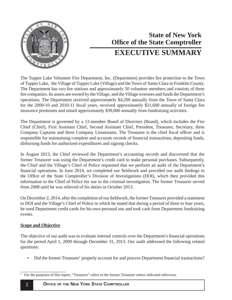<span id="page-3-0"></span>

# **Office of the State Comptroller State of New York EXECUTIVE SUMMARY**

The Tupper Lake Volunteer Fire Department, Inc. (Department) provides fire protection to the Town of Tupper Lake, the Village of Tupper Lake (Village) and the Town of Santa Clara in Franklin County. The Department has two fire stations and approximately 50 volunteer members and consists of three fire companies. Its assets are owned by the Village, and the Village oversees and funds the Department's operations. The Department received approximately \$4,200 annually from the Town of Santa Clara for the 2009-10 and 2010-11 fiscal years, received approximately \$11,600 annually of foreign fire insurance premiums and raised approximately \$39,000 annually from fundraising activities.

The Department is governed by a 12-member Board of Directors (Board), which includes the Fire Chief (Chief), First Assistant Chief, Second Assistant Chief, President, Treasurer, Secretary, three Company Captains and three Company Lieutenants. The Treasurer is the chief fiscal officer and is responsible for maintaining complete and accurate records of financial transactions, depositing funds, disbursing funds for authorized expenditures and signing checks.

In August 2013, the Chief reviewed the Department's accounting records and discovered that the former Treasurer was using the Department's credit card to make personal purchases. Subsequently, the Chief and the Village's Chief of Police requested that we perform an audit of the Department's financial operations. In June 2014, we completed our fieldwork and provided our audit findings to the Office of the State Comptroller's Division of Investigations (DOI), which then provided this information to the Chief of Police for use in the criminal investigation. The former Treasurer served from 2008 until he was relieved of his duties in October 2013.

On December 2, 2014, after the completion of our fieldwork, the former Treasurer provided a statement to DOI and the Village's Chief of Police in which he stated that during a period of three to four years, he used Department credit cards for his own personal use and took cash from Department fundraising events.

# **Scope and Objective**

The objective of our audit was to evaluate internal controls over the Department's financial operations for the period April 1, 2009 through December 31, 2013. Our audit addressed the following related questions:

• Did the former Treasurer<sup>1</sup> properly account for and process Department financial transactions?

\_\_\_\_\_\_\_\_\_\_\_\_\_\_\_\_\_\_\_\_ 1 For the purposes of this report, "Treasurer" refers to the former Treasurer unless indicated otherwise.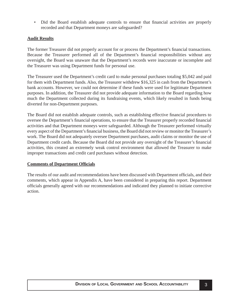• Did the Board establish adequate controls to ensure that financial activities are properly recorded and that Department moneys are safeguarded?

# **Audit Results**

The former Treasurer did not properly account for or process the Department's financial transactions. Because the Treasurer performed all of the Department's financial responsibilities without any oversight, the Board was unaware that the Department's records were inaccurate or incomplete and the Treasurer was using Department funds for personal use.

The Treasurer used the Department's credit card to make personal purchases totaling \$5,042 and paid for them with Department funds. Also, the Treasurer withdrew \$16,325 in cash from the Department's bank accounts. However, we could not determine if these funds were used for legitimate Department purposes. In addition, the Treasurer did not provide adequate information to the Board regarding how much the Department collected during its fundraising events, which likely resulted in funds being diverted for non-Department purposes.

The Board did not establish adequate controls, such as establishing effective financial procedures to oversee the Department's financial operations, to ensure that the Treasurer properly recorded financial activities and that Department moneys were safeguarded. Although the Treasurer performed virtually every aspect of the Department's financial business, the Board did not review or monitor the Treasurer's work. The Board did not adequately oversee Department purchases, audit claims or monitor the use of Department credit cards. Because the Board did not provide any oversight of the Treasurer's financial activities, this created an extremely weak control environment that allowed the Treasurer to make improper transactions and credit card purchases without detection.

# **Comments of Department Offi cials**

The results of our audit and recommendations have been discussed with Department officials, and their comments, which appear in Appendix A, have been considered in preparing this report. Department offi cials generally agreed with our recommendations and indicated they planned to initiate corrective action.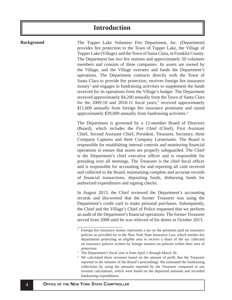# **Introduction**

#### <span id="page-5-0"></span>**Background**

The Tupper Lake Volunteer Fire Department, Inc. (Department) provides fire protection to the Town of Tupper Lake, the Village of Tupper Lake (Village) and the Town of Santa Clara, in Franklin County. The Department has two fire stations and approximately 50 volunteer members and consists of three companies. Its assets are owned by the Village, and the Village oversees and funds the Department's operations. The Department contracts directly with the Town of Santa Clara to provide fire protection, receives foreign fire insurance money<sup>2</sup> and engages in fundraising activities to supplement the funds received for its operations from the Village's budget. The Department received approximately \$4,200 annually from the Town of Santa Clara for the  $2009-10$  and  $2010-11$  fiscal years,<sup>3</sup> received approximately \$11,600 annually from foreign fire insurance premiums and raised approximately \$39,000 annually from fundraising activities.4

The Department is governed by a 12-member Board of Directors (Board), which includes the Fire Chief (Chief), First Assistant Chief, Second Assistant Chief, President, Treasurer, Secretary, three Company Captains and three Company Lieutenants. The Board is responsible for establishing internal controls and monitoring financial operations to ensure that assets are properly safeguarded. The Chief is the Department's chief executive officer and is responsible for presiding over all meetings. The Treasurer is the chief fiscal officer and is responsible for accounting for and reporting all cash received and collected to the Board, maintaining complete and accurate records of financial transactions, depositing funds, disbursing funds for authorized expenditures and signing checks.

In August 2013, the Chief reviewed the Department's accounting records and discovered that the former Treasurer was using the Department's credit card to make personal purchases. Subsequently, the Chief and the Village's Chief of Police requested that we perform an audit of the Department's financial operations. The former Treasurer served from 2008 until he was relieved of his duties in October 2013.

<sup>&</sup>lt;sup>2</sup> Foreign fire insurance money represents a tax on the premium paid on insurance policies as provided for in the New York State Insurance Law, which entitles fire departments protecting an eligible area to receive a share of the tax collected on insurance policies written by foreign insurers on policies within their area of protection.

<sup>3</sup> The Department's fiscal year is from April 1 through March 30.

<sup>&</sup>lt;sup>4</sup> We calculated these revenues based on the amount of profit that the Treasurer reported in the minutes of the Board's proceedings. We estimated the fundraising collections by using the amounts reported by the Treasurer compared to our revenue calculations, which were based on the deposited amounts and recorded fundraising expenditures.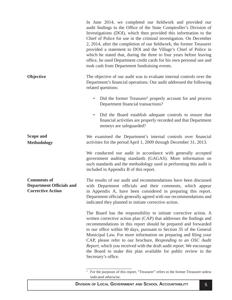<span id="page-6-0"></span>

|                                                                                   | In June 2014, we completed our fieldwork and provided our<br>audit findings to the Office of the State Comptroller's Division of<br>Investigations (DOI), which then provided this information to the<br>Chief of Police for use in the criminal investigation. On December<br>2, 2014, after the completion of our fieldwork, the former Treasurer<br>provided a statement to DOI and the Village's Chief of Police in<br>which he stated that, during the three to four years before leaving<br>office, he used Department credit cards for his own personal use and<br>took cash from Department fundraising events. |
|-----------------------------------------------------------------------------------|-------------------------------------------------------------------------------------------------------------------------------------------------------------------------------------------------------------------------------------------------------------------------------------------------------------------------------------------------------------------------------------------------------------------------------------------------------------------------------------------------------------------------------------------------------------------------------------------------------------------------|
| Objective                                                                         | The objective of our audit was to evaluate internal controls over the<br>Department's financial operations. Our audit addressed the following<br>related questions:                                                                                                                                                                                                                                                                                                                                                                                                                                                     |
|                                                                                   | Did the former Treasurer <sup>5</sup> properly account for and process<br>Department financial transactions?                                                                                                                                                                                                                                                                                                                                                                                                                                                                                                            |
|                                                                                   | Did the Board establish adequate controls to ensure that<br>$\bullet$<br>financial activities are properly recorded and that Department<br>moneys are safeguarded?                                                                                                                                                                                                                                                                                                                                                                                                                                                      |
| <b>Scope and</b><br><b>Methodology</b>                                            | We examined the Department's internal controls over financial<br>activities for the period April 1, 2009 through December 31, 2013.                                                                                                                                                                                                                                                                                                                                                                                                                                                                                     |
|                                                                                   | We conducted our audit in accordance with generally accepted<br>government auditing standards (GAGAS). More information on<br>such standards and the methodology used in performing this audit is<br>included in Appendix B of this report.                                                                                                                                                                                                                                                                                                                                                                             |
| <b>Comments of</b><br><b>Department Officials and</b><br><b>Corrective Action</b> | The results of our audit and recommendations have been discussed<br>with Department officials and their comments, which appear<br>in Appendix A, have been considered in preparing this report.<br>Department officials generally agreed with our recommendations and<br>indicated they planned to initiate corrective action.                                                                                                                                                                                                                                                                                          |
|                                                                                   | The Board has the responsibility to initiate corrective action. A<br>written corrective action plan (CAP) that addresses the findings and<br>recommendations in this report should be prepared and forwarded<br>to our office within 90 days, pursuant to Section 35 of the General<br>Municipal Law. For more information on preparing and filing your<br>CAP, please refer to our brochure, Responding to an OSC Audit<br><i>Report</i> , which you received with the draft audit report. We encourage<br>the Board to make this plan available for public review in the<br>Secretary's office.                       |

The summan set of this report, "Treasurer" refers to the former Treasurer unless indicated otherwise.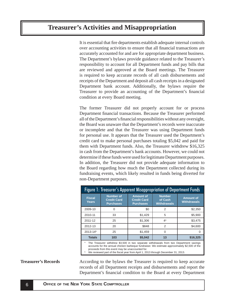# <span id="page-7-0"></span>**Treasurer's Activities and Misappropriation**

It is essential that fire departments establish adequate internal controls over accounting activities to ensure that all financial transactions are accurately accounted for and are for appropriate department business. The Department's bylaws provide guidance related to the Treasurer's responsibility to account for all Department funds and pay bills that are reviewed and approved at the Board meetings. The Treasurer is required to keep accurate records of all cash disbursements and receipts of the Department and deposit all cash receipts in a designated Department bank account. Additionally, the bylaws require the Treasurer to provide an accounting of the Department's financial condition at every Board meeting.

The former Treasurer did not properly account for or process Department financial transactions. Because the Treasurer performed all of the Department's financial responsibilities without any oversight, the Board was unaware that the Department's records were inaccurate or incomplete and that the Treasurer was using Department funds for personal use. It appears that the Treasurer used the Department's credit card to make personal purchases totaling \$5,042 and paid for them with Department funds. Also, the Treasurer withdrew \$16,325 in cash from the Department's bank accounts. However, we could not determine if these funds were used for legitimate Department purposes. In addition, the Treasurer did not provide adequate information to the Board regarding how much the Department collected during its fundraising events, which likely resulted in funds being diverted for non-Department purposes.

| Figure 1: Treasurer's Apparent Misappropriation of Department Funds                                                                                                                                                                                                                                                                   |                                                            |                                                            |                                                |                                        |  |
|---------------------------------------------------------------------------------------------------------------------------------------------------------------------------------------------------------------------------------------------------------------------------------------------------------------------------------------|------------------------------------------------------------|------------------------------------------------------------|------------------------------------------------|----------------------------------------|--|
| <b>Fiscal</b><br>Years                                                                                                                                                                                                                                                                                                                | <b>Number of</b><br><b>Credit Card</b><br><b>Purchases</b> | <b>Amount of</b><br><b>Credit Card</b><br><b>Purchases</b> | <b>Number</b><br>of Cash<br><b>Withdrawals</b> | <b>Amount of</b><br><b>Withdrawals</b> |  |
| 2009-10                                                                                                                                                                                                                                                                                                                               | U                                                          | \$0                                                        | $\mathfrak{p}$                                 | \$2,350                                |  |
| 2010-11                                                                                                                                                                                                                                                                                                                               | 33                                                         | \$1,429                                                    | 5                                              | \$5,900                                |  |
| 2011-12                                                                                                                                                                                                                                                                                                                               | 25                                                         | \$1,306                                                    | 4 <sup>a</sup>                                 | \$3,475                                |  |
| 2012-13                                                                                                                                                                                                                                                                                                                               | 20                                                         | \$848                                                      | $\mathcal{P}$                                  | \$4,600                                |  |
| 2013-14 <sup>b</sup>                                                                                                                                                                                                                                                                                                                  | 25                                                         | \$1,459                                                    | $\Omega$                                       | O                                      |  |
| <b>Totals</b>                                                                                                                                                                                                                                                                                                                         | 103                                                        | \$5,042                                                    | 13                                             | \$16,325                               |  |
| The Treasurer withdrew \$3,500 in two separate withdrawals from two Department savings<br>a<br>accounts for the annual chicken barbeque fundraiser. We estimate approximately \$2,500 of the<br>proceeds from this event may be unaccounted for.<br>We reviewed part of the fiscal year from April 1, 2013 through December 31, 2013. |                                                            |                                                            |                                                |                                        |  |

#### **Treasurer's Records**

According to the bylaws the Treasurer is required to keep accurate records of all Department receipts and disbursements and report the Department's financial condition to the Board at every Department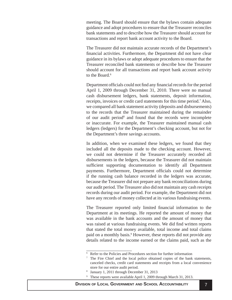meeting. The Board should ensure that the bylaws contain adequate guidance and adopt procedures to ensure that the Treasurer reconciles bank statements and to describe how the Treasurer should account for transactions and report bank account activity to the Board.

The Treasurer did not maintain accurate records of the Department's financial activities. Furthermore, the Department did not have clear guidance in its bylaws or adopt adequate procedures to ensure that the Treasurer reconciled bank statements or describe how the Treasurer should account for all transactions and report bank account activity to the Board.<sup>6</sup>

Department officials could not find any financial records for the period April 1, 2009 through December 31, 2010. There were no manual cash disbursement ledgers, bank statements, deposit information, receipts, invoices or credit card statements for this time period.<sup>7</sup> Also, we compared all bank statement activity (deposits and disbursements) to the records that the Treasurer maintained during the remainder of our audit period<sup>8</sup> and found that the records were incomplete or inaccurate. For example, the Treasurer maintained manual cash ledgers (ledgers) for the Department's checking account, but not for the Department's three savings accounts.

In addition, when we examined these ledgers, we found that they included all the deposits made to the checking account. However, we could not determine if the Treasurer accurately recorded all disbursements in the ledgers, because the Treasurer did not maintain sufficient supporting documentation to identify all Department payments. Furthermore, Department officials could not determine if the running cash balance recorded in the ledgers was accurate, because the Treasurer did not prepare any bank reconciliations during our audit period. The Treasurer also did not maintain any cash receipts records during our audit period. For example, the Department did not have any records of money collected at its various fundraising events.

The Treasurer reported only limited financial information to the Department at its meetings. He reported the amount of money that was available in the bank accounts and the amount of money that was raised at various fundraising events. We did find written reports that stated the total money available, total income and total claims paid on a monthly basis.<sup>9</sup> However, these reports did not provide any details related to the income earned or the claims paid, such as the

8 January 1, 2011 through December 31, 2013

\_\_\_\_\_\_\_\_\_\_\_\_\_\_\_\_\_\_\_\_

7

9 These reports were available April 1, 2009 through March 31, 2013.

**DIVISION OF LOCAL GOVERNMENT AND SCHOOL ACCOUNTABILITY** 77

<sup>6</sup> Refer to the Policies and Procedures section for further information

The Fire Chief and the local police obtained copies of the bank statements, canceled checks, credit card statements and receipts from a local convenience store for our entire audit period.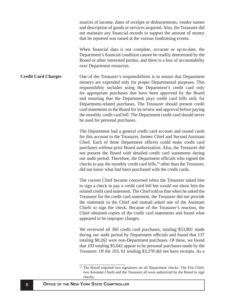sources of income, dates of receipts or disbursements, vendor names and description of goods or services acquired. Also, the Treasurer did not maintain any financial records to support the amount of money that he reported was raised at the various fundraising events.

When financial data is not complete, accurate or up-to-date, the Department's financial condition cannot be readily determined by the Board or other interested parties, and there is a loss of accountability over Department resources.

<span id="page-9-0"></span>One of the Treasurer's responsibilities is to ensure that Department moneys are expended only for proper Departmental purposes. This responsibility includes using the Department's credit card only for appropriate purchases that have been approved by the Board and ensuring that the Department pays credit card bills only for Department-related purchases. The Treasurer should present credit card statements to the Board for its review and approval before paying the monthly credit card bill. The Department credit card should never be used for personal purchases. **Credit Card Charges**

> The Department had a general credit card account and issued cards for this account to the Treasurer, former Chief and Second Assistant Chief. Each of these Department officers could make credit card purchases without prior Board authorization. Also, the Treasurer did not present the Board with detailed credit card statements during our audit period. Therefore, the Department officials who signed the checks to pay the monthly credit card bills, $10$  other than the Treasurer, did not know what had been purchased with the credit cards.

> The current Chief became concerned when the Treasurer asked him to sign a check to pay a credit card bill but would not show him the related credit card statement. The Chief told us that when he asked the Treasurer for the credit card statement, the Treasurer did not provide the statement to the Chief and instead asked one of the Assistant Chiefs to sign the check. Because of the Treasurer's reaction, the Chief obtained copies of the credit card statements and found what appeared to be improper charges.

> We reviewed all 360 credit card purchases, totaling \$53,801 made during our audit period by Department officials and found that 137 totaling \$8,262 were non-Department purchases. Of these, we found that 103 totaling \$5,042 appear to be personal purchases made by the Treasurer. Of the 103, 61 totaling \$3,378 did not have receipts. As a

<sup>&</sup>lt;sup>10</sup> The Board required two signatures on all Department checks. The Fire Chief, two Assistant Chiefs and the Treasurer all were authorized by the Board to sign checks.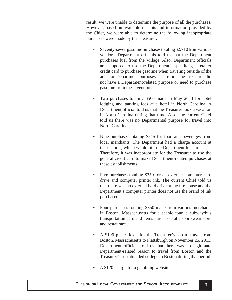result, we were unable to determine the purpose of all the purchases. However, based on available receipts and information provided by the Chief, we were able to determine the following inappropriate purchases were made by the Treasurer:

- Seventy-seven gasoline purchases totaling \$2,710 from various vendors. Department officials told us that the Department purchases fuel from the Village. Also, Department officials are supposed to use the Department's specific gas retailer credit card to purchase gasoline when traveling outside of the area for Department purposes. Therefore, the Treasurer did not have a Department-related purpose or need to purchase gasoline from these vendors.
- Two purchases totaling \$566 made in May 2013 for hotel lodging and parking fees at a hotel in North Carolina. A Department official told us that the Treasurer took a vacation in North Carolina during that time. Also, the current Chief told us there was no Departmental purpose for travel into North Carolina.
- Nine purchases totaling \$515 for food and beverages from local merchants. The Department had a charge account at these stores, which would bill the Department for purchases. Therefore, it was inappropriate for the Treasurer to use the general credit card to make Department-related purchases at these establishments.
- Five purchases totaling \$359 for an external computer hard drive and computer printer ink. The current Chief told us that there was no external hard drive at the fire house and the Department's computer printer does not use the brand of ink purchased.
- Four purchases totaling \$350 made from various merchants in Boston, Massachusetts for a scenic tour, a subway/bus transportation card and items purchased at a sportswear store and restaurant.
- A \$196 plane ticket for the Treasurer's son to travel from Boston, Massachusetts to Plattsburgh on November 25, 2011. Department officials told us that there was no legitimate Department-related reason to travel from Boston and the Treasurer's son attended college in Boston during that period.
- A \$120 charge for a gambling website.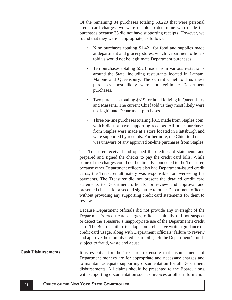<span id="page-11-0"></span>Of the remaining 34 purchases totaling \$3,220 that were personal credit card charges, we were unable to determine who made the purchases because 33 did not have supporting receipts. However, we found that they were inappropriate, as follows:

- Nine purchases totaling \$1,421 for food and supplies made at department and grocery stores, which Department officials told us would not be legitimate Department purchases.
- Ten purchases totaling \$523 made from various restaurants around the State, including restaurants located in Latham, Malone and Queensbury. The current Chief told us these purchases most likely were not legitimate Department purchases.
- Two purchases totaling \$319 for hotel lodging in Queensbury and Massena. The current Chief told us they most likely were not legitimate Department purchases.
- Three on-line purchases totaling \$315 made from Staples.com, which did not have supporting receipts. All other purchases from Staples were made at a store located in Plattsburgh and were supported by receipts. Furthermore, the Chief told us he was unaware of any approved on-line purchases from Staples.

The Treasurer received and opened the credit card statements and prepared and signed the checks to pay the credit card bills. While some of the charges could not be directly connected to the Treasurer, because other Department officers also had Department-issued credit cards, the Treasurer ultimately was responsible for overseeing the payments. The Treasurer did not present the detailed credit card statements to Department officials for review and approval and presented checks for a second signature to other Department officers without providing any supporting credit card statements for them to review.

Because Department officials did not provide any oversight of the Department's credit card charges, officials initially did not suspect or detect the Treasurer's inappropriate use of the Department's credit card. The Board's failure to adopt comprehensive written guidance on credit card usage, along with Department officials' failure to review and approve the monthly credit card bills, left the Department's funds subject to fraud, waste and abuse.

It is essential for the Treasurer to ensure that disbursements of Department moneys are for appropriate and necessary charges and to maintain adequate supporting documentation for all Department disbursements. All claims should be presented to the Board, along with supporting documentation such as invoices or other information **Cash Disbursements**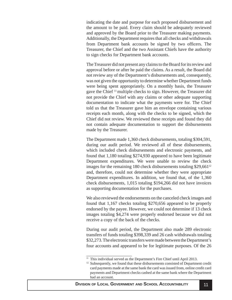indicating the date and purpose for each proposed disbursement and the amount to be paid. Every claim should be adequately reviewed and approved by the Board prior to the Treasurer making payments. Additionally, the Department requires that all checks and withdrawals from Department bank accounts be signed by two officers. The Treasurer, the Chief and the two Assistant Chiefs have the authority to sign checks for Department bank accounts.

The Treasurer did not present any claims to the Board for its review and approval before or after he paid the claims. As a result, the Board did not review any of the Department's disbursements and, consequently, was not given the opportunity to determine whether Department funds were being spent appropriately. On a monthly basis, the Treasurer gave the Chief 11 multiple checks to sign. However, the Treasurer did not provide the Chief with any claims or other adequate supporting documentation to indicate what the payments were for. The Chief told us that the Treasurer gave him an envelope containing various receipts each month, along with the checks to be signed, which the Chief did not review. We reviewed these receipts and found they did not contain adequate documentation to support the disbursements made by the Treasurer.

The Department made 1,360 check disbursements, totaling \$304,591, during our audit period. We reviewed all of these disbursements, which included check disbursements and electronic payments, and found that 1,180 totaling \$274,930 appeared to have been legitimate Department expenditures. We were unable to review the check images for the remaining 180 check disbursements totaling \$29,661<sup>12</sup> and, therefore, could not determine whether they were appropriate Department expenditures. In addition, we found that, of the 1,360 check disbursements, 1,015 totaling \$194,266 did not have invoices as supporting documentation for the purchases.

We also reviewed the endorsements on the canceled check images and found that 1,167 checks totaling \$270,656 appeared to be properly endorsed by the payee. However, we could not determine if 13 check images totaling \$4,274 were properly endorsed because we did not receive a copy of the back of the checks.

During our audit period, the Department also made 289 electronic transfers of funds totaling \$398,339 and 26 cash withdrawals totaling \$32,273. The electronic transfers were made between the Department's four accounts and appeared to be for legitimate purposes. Of the 26

<sup>&</sup>lt;sup>11</sup> This individual served as the Department's Fire Chief until April 2013.

<sup>&</sup>lt;sup>12</sup> Subsequently, we found that these disbursements consisted of Department credit card payments made at the same bank the card was issued from, online credit card payments and Department checks cashed at the same bank where the Department had an account.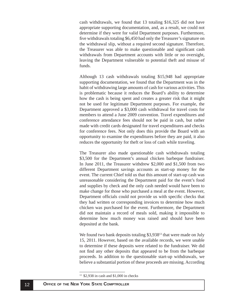cash withdrawals, we found that 13 totaling \$16,325 did not have appropriate supporting documentation, and, as a result, we could not determine if they were for valid Department purposes. Furthermore, five withdrawals totaling \$6,450 had only the Treasurer's signature on the withdrawal slip, without a required second signature. Therefore, the Treasurer was able to make questionable and significant cash withdrawals from Department accounts with little or no oversight, leaving the Department vulnerable to potential theft and misuse of funds.

Although 13 cash withdrawals totaling \$15,948 had appropriate supporting documentation, we found that the Department was in the habit of withdrawing large amounts of cash for various activities. This is problematic because it reduces the Board's ability to determine how the cash is being spent and creates a greater risk that it might not be used for legitimate Department purposes. For example, the Department approved a \$3,000 cash withdrawal for travel costs for members to attend a June 2009 convention. Travel expenditures and conference attendance fees should not be paid in cash, but rather made with credit cards designated for travel expenditures and checks for conference fees. Not only does this provide the Board with an opportunity to examine the expenditures before they are paid, it also reduces the opportunity for theft or loss of cash while traveling.

The Treasurer also made questionable cash withdrawals totaling \$3,500 for the Department's annual chicken barbeque fundraiser. In June 2011, the Treasurer withdrew \$2,000 and \$1,500 from two different Department savings accounts as start-up money for the event. The current Chief told us that this amount of start-up cash was unreasonable considering the Department paid for the event's food and supplies by check and the only cash needed would have been to make change for those who purchased a meal at the event. However, Department officials could not provide us with specific checks that they had written or corresponding invoices to determine how much chicken was purchased for the event. Furthermore, the Department did not maintain a record of meals sold, making it impossible to determine how much money was raised and should have been deposited at the bank.

We found two bank deposits totaling \$3,938<sup>13</sup> that were made on July 15, 2011. However, based on the available records, we were unable to determine if these deposits were related to the fundraiser. We did not find any other deposits that appeared to be from the barbeque proceeds. In addition to the questionable start-up withdrawals, we believe a substantial portion of these proceeds are missing. According

<sup>&</sup>lt;sup>13</sup> \$2,938 in cash and \$1,000 in checks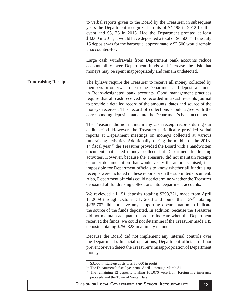to verbal reports given to the Board by the Treasurer, in subsequent years the Department recognized profits of \$4,195 in 2012 for this event and \$3,176 in 2013. Had the Department profited at least \$3,000 in 2011, it would have deposited a total of \$6,500.<sup>14</sup> If the July 15 deposit was for the barbeque, approximately \$2,500 would remain unaccounted-for.

Large cash withdrawals from Department bank accounts reduce accountability over Department funds and increase the risk that moneys may be spent inappropriately and remain undetected.

<span id="page-14-0"></span>**Fundraising Receipts** The bylaws require the Treasurer to receive all money collected by members or otherwise due to the Department and deposit all funds in Board-designated bank accounts. Good management practices require that all cash received be recorded in a cash receipts journal to provide a detailed record of the amounts, dates and source of the moneys received. This record of collections should agree with the corresponding deposits made into the Department's bank accounts.

> The Treasurer did not maintain any cash receipt records during our audit period. However, the Treasurer periodically provided verbal reports at Department meetings on moneys collected at various fundraising activities. Additionally, during the middle of the 2013- 14 fiscal year,<sup>15</sup> the Treasurer provided the Board with a handwritten document that listed moneys collected at Department fundraising activities. However, because the Treasurer did not maintain receipts or other documentation that would verify the amounts raised, it is impossible for Department officials to know whether all fundraising receipts were included in these reports or on the submitted document. Also, Department officials could not determine whether the Treasurer deposited all fundraising collections into Department accounts.

> We reviewed all 151 deposits totaling \$298,221, made from April 1, 2009 through October 31, 2013 and found that 13916 totaling \$235,702 did not have any supporting documentation to indicate the source of the funds deposited. In addition, because the Treasurer did not maintain adequate records to indicate when the Department received the funds, we could not determine if the Treasurer made 145 deposits totaling \$250,323 in a timely manner.

> Because the Board did not implement any internal controls over the Department's financial operations, Department officials did not prevent or even detect the Treasurer's misappropriation of Department moneys.

 $14$  \$3,500 in start-up costs plus \$3,000 in profit

<sup>&</sup>lt;sup>15</sup> The Department's fiscal year runs April 1 through March 31.

 $16$  The remaining 12 deposits totaling \$61,076 were from foreign fire insurance proceeds and the Town of Santa Clara.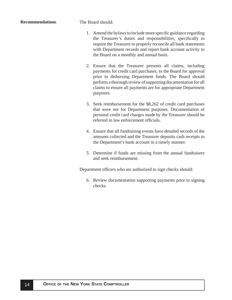<span id="page-15-0"></span>

- 1. Amend the bylaws to include more specific guidance regarding the Treasurer's duties and responsibilities, specifically to require the Treasurer to properly reconcile all bank statements with Department records and report bank account activity to the Board on a monthly and annual basis.
- 2. Ensure that the Treasurer presents all claims, including payments for credit card purchases, to the Board for approval prior to disbursing Department funds. The Board should perform a thorough review of supporting documentation for all claims to ensure all payments are for appropriate Department purposes.
- 3. Seek reimbursement for the \$8,262 of credit card purchases that were not for Department purposes. Documentation of personal credit card charges made by the Treasurer should be referred to law enforcement officials.
- 4. Ensure that all fundraising events have detailed records of the amounts collected and the Treasurer deposits cash receipts in the Department's bank account in a timely manner.
- 5. Determine if funds are missing from the annual fundraisers and seek reimbursement.

Department officers who are authorized to sign checks should:

6. Review documentation supporting payments prior to signing checks.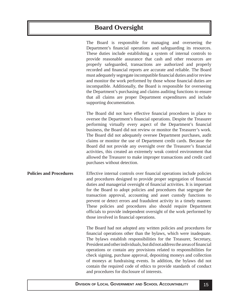# **Board Oversight**

<span id="page-16-0"></span>The Board is responsible for managing and overseeing the Department's financial operations and safeguarding its resources. These duties include establishing a system of internal controls to provide reasonable assurance that cash and other resources are properly safeguarded, transactions are authorized and properly recorded and financial reports are accurate and reliable. The Board must adequately segregate incompatible financial duties and/or review and monitor the work performed by those whose financial duties are incompatible. Additionally, the Board is responsible for overseeing the Department's purchasing and claims auditing functions to ensure that all claims are proper Department expenditures and include supporting documentation.

The Board did not have effective financial procedures in place to oversee the Department's financial operations. Despite the Treasurer performing virtually every aspect of the Department's financial business, the Board did not review or monitor the Treasurer's work. The Board did not adequately oversee Department purchases, audit claims or monitor the use of Department credit cards. Because the Board did not provide any oversight over the Treasurer's financial activities, this created an extremely weak control environment that allowed the Treasurer to make improper transactions and credit card purchases without detection.

**Policies and Procedures** Effective internal controls over financial operations include policies and procedures designed to provide proper segregation of financial duties and managerial oversight of financial activities. It is important for the Board to adopt policies and procedures that segregate the transaction approval, accounting and asset custody functions to prevent or detect errors and fraudulent activity in a timely manner. These policies and procedures also should require Department officials to provide independent oversight of the work performed by those involved in financial operations.

> The Board had not adopted any written policies and procedures for financial operations other than the bylaws, which were inadequate. The bylaws establish responsibilities for the Treasurer, Secretary, President and other individuals, but did not address the areas of financial operations or contain any provisions related to responsibilities for check signing, purchase approval, depositing moneys and collection of moneys at fundraising events. In addition, the bylaws did not contain the required code of ethics to provide standards of conduct and procedures for disclosure of interests.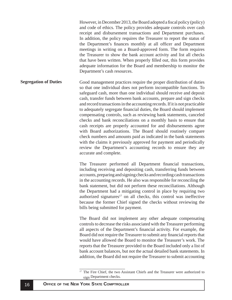<span id="page-17-0"></span>However, in December 2013, the Board adopted a fiscal policy (policy) and code of ethics. The policy provides adequate controls over cash receipt and disbursement transactions and Department purchases. In addition, the policy requires the Treasurer to report the status of the Department's finances monthly at all officer and Department meetings in writing on a Board-approved form. The form requires the Treasurer to show the bank account activity and list all checks that have been written. When properly filled out, this form provides adequate information for the Board and membership to monitor the Department's cash resources.

Good management practices require the proper distribution of duties so that one individual does not perform incompatible functions. To safeguard cash, more than one individual should receive and deposit cash, transfer funds between bank accounts, prepare and sign checks and record transactions in the accounting records. If it is not practicable to adequately segregate financial duties, the Board should implement compensating controls, such as reviewing bank statements, canceled checks and bank reconciliations on a monthly basis to ensure that cash receipts are properly accounted for and disbursements agree with Board authorizations. The Board should routinely compare check numbers and amounts paid as indicated in the bank statements with the claims it previously approved for payment and periodically review the Department's accounting records to ensure they are accurate and complete. **Segregation of Duties**

> The Treasurer performed all Department financial transactions, including receiving and depositing cash, transferring funds between accounts, preparing and signing checks and recording cash transactions in the accounting records. He also was responsible for reconciling the bank statement, but did not perform these reconciliations. Although the Department had a mitigating control in place by requiring two authorized signatures<sup>17</sup> on all checks, this control was ineffective because the former Chief signed the checks without reviewing the bills being submitted for payment.

> The Board did not implement any other adequate compensating controls to decrease the risks associated with the Treasurer performing all aspects of the Department's financial activity. For example, the Board did not require the Treasurer to submit any financial reports that would have allowed the Board to monitor the Treasurer's work. The reports that the Treasurer provided to the Board included only a list of bank account balances, but not the actual detailed bank statements. In addition, the Board did not require the Treasurer to submit accounting

<sup>&</sup>lt;sup>17</sup> The Fire Chief, the two Assistant Chiefs and the Treasurer were authorized to sign Department checks.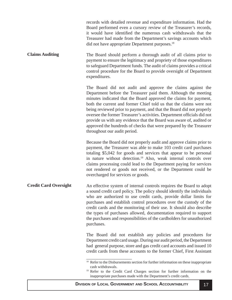<span id="page-18-0"></span>

|                              | records with detailed revenue and expenditure information. Had the<br>Board performed even a cursory review of the Treasurer's records,<br>it would have identified the numerous cash withdrawals that the<br>Treasurer had made from the Department's savings accounts which<br>did not have appropriate Department purposes. <sup>18</sup>                                                                                                                                                                                                                                                               |
|------------------------------|------------------------------------------------------------------------------------------------------------------------------------------------------------------------------------------------------------------------------------------------------------------------------------------------------------------------------------------------------------------------------------------------------------------------------------------------------------------------------------------------------------------------------------------------------------------------------------------------------------|
| <b>Claims Auditing</b>       | The Board should perform a thorough audit of all claims prior to<br>payment to ensure the legitimacy and propriety of those expenditures<br>to safeguard Department funds. The audit of claims provides a critical<br>control procedure for the Board to provide oversight of Department<br>expenditures.                                                                                                                                                                                                                                                                                                  |
|                              | The Board did not audit and approve the claims against the<br>Department before the Treasurer paid them. Although the meeting<br>minutes indicated that the Board approved the claims for payment,<br>both the current and former Chief told us that the claims were not<br>being reviewed prior to payment, and that the Board did not properly<br>oversee the former Treasurer's activities. Department officials did not<br>provide us with any evidence that the Board was aware of, audited or<br>approved the hundreds of checks that were prepared by the Treasurer<br>throughout our audit period. |
|                              | Because the Board did not properly audit and approve claims prior to<br>payment, the Treasurer was able to make 103 credit card purchases<br>totaling \$5,042 for goods and services that appear to be personal<br>in nature without detection. <sup>19</sup> Also, weak internal controls over<br>claims processing could lead to the Department paying for services<br>not rendered or goods not received, or the Department could be<br>overcharged for services or goods.                                                                                                                              |
| <b>Credit Card Oversight</b> | An effective system of internal controls requires the Board to adopt<br>a sound credit card policy. The policy should identify the individuals<br>who are authorized to use credit cards, provide dollar limits for<br>purchases and establish control procedures over the custody of the<br>credit cards and the monitoring of their use. It should also describe<br>the types of purchases allowed, documentation required to support<br>the purchases and responsibilities of the cardholders for unauthorized<br>purchases.                                                                            |
|                              | The Board did not establish any policies and procedures for<br>Department credit card usage. During our audit period, the Department<br>had general purpose, store and gas credit card accounts and issued 10<br>credit cards from these accounts to the former Chief, First Assistant                                                                                                                                                                                                                                                                                                                     |
|                              | <sup>18</sup> Refer to the Disbursements section for further information on these inappropriate<br>cash withdrawals.<br><sup>19</sup> Refer to the Credit Card Charges section for further information on the                                                                                                                                                                                                                                                                                                                                                                                              |

<sup>&</sup>lt;sup>19</sup> Refer to the Credit Card Charges section for further information on the inappropriate purchases made with the Department's credit cards.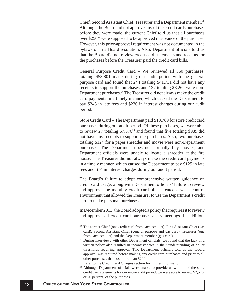Chief, Second Assistant Chief, Treasurer and a Department member.<sup>20</sup> Although the Board did not approve any of the credit cards purchases before they were made, the current Chief told us that all purchases over \$25021 were supposed to be approved in advance of the purchase. However, this prior-approval requirement was not documented in the bylaws or in a Board resolution. Also, Department officials told us that the Board did not review credit card statements and receipts for the purchases before the Treasurer paid the credit card bills.

General Purpose Credit Card – We reviewed all 360 purchases, totaling \$53,801 made during our audit period with the general purpose card and found that 244 totaling \$41,731 did not have any receipts to support the purchases and 137 totaling \$8,262 were non-Department purchases.22 The Treasurer did not always make the credit card payments in a timely manner, which caused the Department to pay \$243 in late fees and \$230 in interest charges during our audit period.

Store Credit Card – The Department paid \$10,789 for store credit card purchases during our audit period. Of these purchases, we were able to review 27 totaling  $$7,576^{23}$  and found that five totaling \$989 did not have any receipts to support the purchases. Also, two purchases totaling \$124 for a paper shredder and movie were non-Department purchases. The Department does not normally buy movies, and Department officials were unable to locate a shredder at the fire house. The Treasurer did not always make the credit card payments in a timely manner, which caused the Department to pay \$125 in late fees and \$74 in interest charges during our audit period.

The Board's failure to adopt comprehensive written guidance on credit card usage, along with Department officials' failure to review and approve the monthly credit card bills, created a weak control environment that allowed the Treasurer to use the Department's credit card to make personal purchases.

In December 2013, the Board adopted a policy that requires it to review and approve all credit card purchases at its meetings. In addition,

<sup>&</sup>lt;sup>20</sup> The former Chief (one credit card from each account), First Assistant Chief (gas card), Second Assistant Chief (general purpose and gas card), Treasurer (one from each account) and the Department member (gas card)

<sup>&</sup>lt;sup>21</sup> During interviews with other Department officials, we found that the lack of a written policy also resulted in inconsistencies in their understanding of dollar thresholds requiring approval. Two Department officials told us that Board approval was required before making any credit card purchases and prior to all other purchases that cost more than \$200.

<sup>22</sup> Refer to the Credit Card Charges section for further information

<sup>&</sup>lt;sup>23</sup> Although Department officials were unable to provide us with all of the store credit card statements for our entire audit period, we were able to review \$7,576, or 70 percent, of the purchases.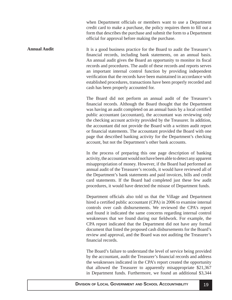when Department officials or members want to use a Department credit card to make a purchase, the policy requires them to fill out a form that describes the purchase and submit the form to a Department official for approval before making the purchase.

<span id="page-20-0"></span>It is a good business practice for the Board to audit the Treasurer's financial records, including bank statements, on an annual basis. An annual audit gives the Board an opportunity to monitor its fiscal records and procedures. The audit of these records and reports serves an important internal control function by providing independent verification that the records have been maintained in accordance with established procedures, transactions have been properly recorded and cash has been properly accounted for. **Annual Audit**

> The Board did not perform an annual audit of the Treasurer's financial records. Although the Board thought that the Department was having an audit completed on an annual basis by a local certified public accountant (accountant), the accountant was reviewing only the checking account activity provided by the Treasurer. In addition, the accountant did not provide the Board with a written audit report or financial statements. The accountant provided the Board with one page that described banking activity for the Department's checking account, but not the Department's other bank accounts.

> In the process of preparing this one page description of banking activity, the accountant would not have been able to detect any apparent misappropriation of money. However, if the Board had performed an annual audit of the Treasurer's records, it would have reviewed all of the Department's bank statements and paid invoices, bills and credit card statements. If the Board had completed just these few audit procedures, it would have detected the misuse of Department funds.

> Department officials also told us that the Village and Department hired a certified public accountant (CPA) in 2006 to examine internal controls over cash disbursements. We reviewed the CPA's report and found it indicated the same concerns regarding internal control weaknesses that we found during our fieldwork. For example, the CPA report indicated that the Department did not have any formal document that listed the proposed cash disbursements for the Board's review and approval, and the Board was not auditing the Treasurer's financial records.

> The Board's failure to understand the level of service being provided by the accountant, audit the Treasurer's financial records and address the weaknesses indicated in the CPA's report created the opportunity that allowed the Treasurer to apparently misappropriate \$21,367 in Department funds. Furthermore, we found an additional \$3,344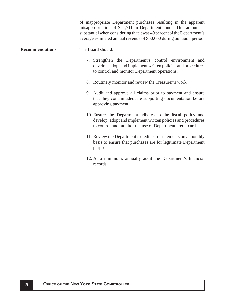of inappropriate Department purchases resulting in the apparent misappropriation of \$24,711 in Department funds. This amount is substantial when considering that it was 49 percent of the Department's average estimated annual revenue of \$50,600 during our audit period.

#### <span id="page-21-0"></span>**Recommendations** The Board should:

- 7. Strengthen the Department's control environment and develop, adopt and implement written policies and procedures to control and monitor Department operations.
- 8. Routinely monitor and review the Treasurer's work.
- 9. Audit and approve all claims prior to payment and ensure that they contain adequate supporting documentation before approving payment.
- 10. Ensure the Department adheres to the fiscal policy and develop, adopt and implement written policies and procedures to control and monitor the use of Department credit cards.
- 11. Review the Department's credit card statements on a monthly basis to ensure that purchases are for legitimate Department purposes.
- 12. At a minimum, annually audit the Department's financial records.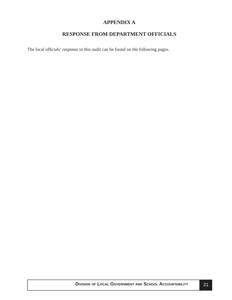# **APPENDIX A**

# **RESPONSE FROM DEPARTMENT OFFICIALS**

<span id="page-22-0"></span>The local officials' response to this audit can be found on the following pages.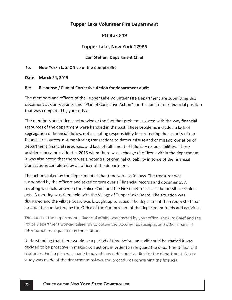# **Tupper Lake Volunteer Fire Department**

# **PO Box 849**

# **Tupper Lake, New York 12986**

## **Carl Steffen, Department Chief**

#### To: New York State Office of the Comptroller

Date: March 24, 2015

#### Re: Response / Plan of Corrective Action for department audit

The members and officers of the Tupper Lake Volunteer Fire Department are submitting this document as our response and "Plan of Corrective Action" for the audit of our financial position that was completed by your office.

The members and officers acknowledge the fact that problems existed with the way financial resources of the department were handled in the past. These problems included a lack of segregation of financial duties, not accepting responsibility for protecting the security of our financial resources, not monitoring transactions to detect misuse and or misappropriation of department financial resources, and lack of fulfillment of fiduciary responsibilities. These problems became evident in 2013 when there was a change of officers within the department. It was also noted that there was a potential of criminal culpability in some of the financial transactions completed by an officer of the department.

The actions taken by the department at that time were as follows. The treasurer was suspended by the officers and asked to turn over all financial records and documents. A meeting was held between the Police Chief and the Fire Chief to discuss the possible criminal acts. A meeting was then held with the Village of Tupper Lake Board. The situation was discussed and the village board was brought up to speed. The department then requested that an audit be conducted, by the Office of the Comptroller, of the department funds and activities.

The audit of the department's financial affairs was started by your office. The Fire Chief and the Police Department worked diligently to obtain the documents, receipts, and other financial information as requested by the auditor.

Understanding that there would be a period of time before an audit could be started it was decided to be proactive in making corrections in order to safe guard the department financial resources. First a plan was made to pay off any debts outstanding for the department. Next a study was made of the department bylaws and procedures concerning the financial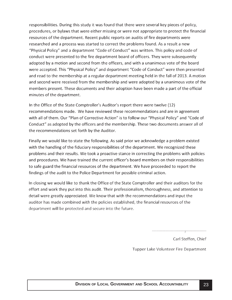responsibilities. During this study it was found that there were several key pieces of policy, procedures, or bylaws that were either missing or were not appropriate to protect the financial resources of the department. Recent public reports on audits of fire departments were researched and a process was started to correct the problems found. As a result a new "Physical Policy" and a department "Code of Conduct" was written. This policy and code of conduct were presented to the fire department board of officers. They were subsequently adopted by a motion and second from the officers, and with a unanimous vote of the board were accepted. This "Physical Policy" and department "Code of Conduct" were then presented and read to the membership at a regular department meeting held in the fall of 2013. A motion and second were received from the membership and were adopted by a unanimous vote of the members present. These documents and their adoption have been made a part of the official minutes of the department.

In the Office of the State Comptroller's Auditor's report there were twelve (12) recommendations made. We have reviewed these recommendations and are in agreement with all of them. Our "Plan of Corrective Action" is to follow our "Physical Policy" and "Code of Conduct" as adopted by the officers and the membership. These two documents answer all of the recommendations set forth by the Auditor.

Finally we would like to state the following. As said prior we acknowledge a problem existed with the handling of the fiduciary responsibilities of the department. We recognized these problems and their results. We took a proactive stance in correcting the problems with policies and procedures. We have trained the current officer's board members on their responsibilities to safe guard the financial resources of the department. We have proceeded to report the findings of the audit to the Police Department for possible criminal action.

In closing we would like to thank the Office of the State Comptroller and their auditors for the effort and work they put into this audit. Their professionalism, thoroughness, and attention to detail were greatly appreciated. We know that with the recommendations and input the auditor has made combined with the policies established, the financial resources of the department will be protected and secure into the future.

Carl Steffen, Chief

Tupper Lake Volunteer Fire Department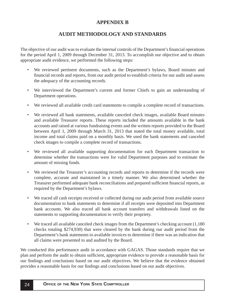# **APPENDIX B**

# **AUDIT METHODOLOGY AND STANDARDS**

<span id="page-25-0"></span>The objective of our audit was to evaluate the internal controls of the Department's financial operations for the period April 1, 2009 through December 31, 2013. To accomplish our objective and to obtain appropriate audit evidence, we performed the following steps:

- We reviewed pertinent documents, such as the Department's bylaws, Board minutes and financial records and reports, from our audit period to establish criteria for our audit and assess the adequacy of the accounting records.
- We interviewed the Department's current and former Chiefs to gain an understanding of Department operations.
- We reviewed all available credit card statements to compile a complete record of transactions.
- We reviewed all bank statements, available canceled check images, available Board minutes and available Treasurer reports. These reports included the amounts available in the bank accounts and raised at various fundraising events and the written reports provided to the Board between April 1, 2009 through March 31, 2013 that stated the total money available, total income and total claims paid on a monthly basis. We used the bank statements and canceled check images to compile a complete record of transactions.
- We reviewed all available supporting documentation for each Department transaction to determine whether the transactions were for valid Department purposes and to estimate the amount of missing funds.
- We reviewed the Treasurer's accounting records and reports to determine if the records were complete, accurate and maintained in a timely manner. We also determined whether the Treasurer performed adequate bank reconciliations and prepared sufficient financial reports, as required by the Department's bylaws.
- We traced all cash receipts received or collected during our audit period from available source documentation to bank statements to determine if all receipts were deposited into Department bank accounts. We also traced all bank account transfers and withdrawals listed on the statements to supporting documentation to verify their propriety.
- We traced all available canceled check images from the Department's checking account  $(1,180)$ checks totaling \$274,930) that were cleared by the bank during our audit period from the Department's bank statements to available invoices to determine if there was an indication that all claims were presented to and audited by the Board.

We conducted this performance audit in accordance with GAGAS. Those standards require that we plan and perform the audit to obtain sufficient, appropriate evidence to provide a reasonable basis for our findings and conclusions based on our audit objectives. We believe that the evidence obtained provides a reasonable basis for our findings and conclusions based on our audit objectives.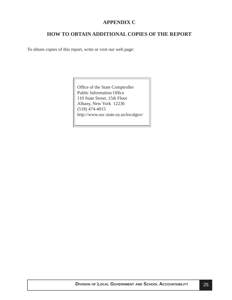# **APPENDIX C**

# **HOW TO OBTAIN ADDITIONAL COPIES OF THE REPORT**

<span id="page-26-0"></span>To obtain copies of this report, write or visit our web page:

Office of the State Comptroller Public Information Office 110 State Street, 15th Floor Albany, New York 12236 (518) 474-4015 http://www.osc.state.ny.us/localgov/